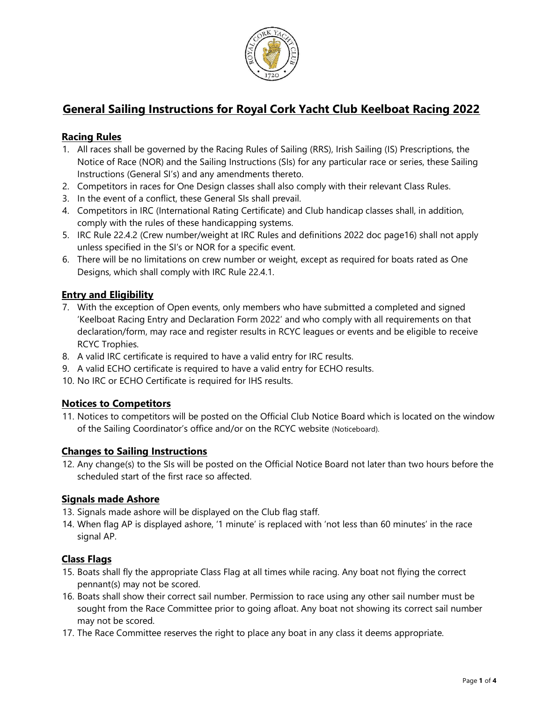

# General Sailing Instructions for Royal Cork Yacht Club Keelboat Racing 2022

## Racing Rules

- 1. All races shall be governed by the Racing Rules of Sailing (RRS), Irish Sailing (IS) Prescriptions, the Notice of Race (NOR) and the Sailing Instructions (SIs) for any particular race or series, these Sailing Instructions (General SI's) and any amendments thereto.
- 2. Competitors in races for One Design classes shall also comply with their relevant Class Rules.
- 3. In the event of a conflict, these General SIs shall prevail.
- 4. Competitors in IRC (International Rating Certificate) and Club handicap classes shall, in addition, comply with the rules of these handicapping systems.
- 5. IRC Rule 22.4.2 (Crew number/weight at IRC Rules and definitions 2022 doc page16) shall not apply unless specified in the SI's or NOR for a specific event.
- 6. There will be no limitations on crew number or weight, except as required for boats rated as One Designs, which shall comply with IRC Rule 22.4.1.

# Entry and Eligibility

- 7. With the exception of Open events, only members who have submitted a completed and signed 'Keelboat Racing Entry and Declaration Form 2022' and who comply with all requirements on that declaration/form, may race and register results in RCYC leagues or events and be eligible to receive RCYC Trophies.
- 8. A valid IRC certificate is required to have a valid entry for IRC results.
- 9. A valid ECHO certificate is required to have a valid entry for ECHO results.
- 10. No IRC or ECHO Certificate is required for IHS results.

## Notices to Competitors

11. Notices to competitors will be posted on the Official Club Notice Board which is located on the window of the Sailing Coordinator's office and/or on the RCYC website (Noticeboard).

## Changes to Sailing Instructions

12. Any change(s) to the SIs will be posted on the Official Notice Board not later than two hours before the scheduled start of the first race so affected.

#### Signals made Ashore

- 13. Signals made ashore will be displayed on the Club flag staff.
- 14. When flag AP is displayed ashore, '1 minute' is replaced with 'not less than 60 minutes' in the race signal AP.

#### Class Flags

- 15. Boats shall fly the appropriate Class Flag at all times while racing. Any boat not flying the correct pennant(s) may not be scored.
- 16. Boats shall show their correct sail number. Permission to race using any other sail number must be sought from the Race Committee prior to going afloat. Any boat not showing its correct sail number may not be scored.
- 17. The Race Committee reserves the right to place any boat in any class it deems appropriate.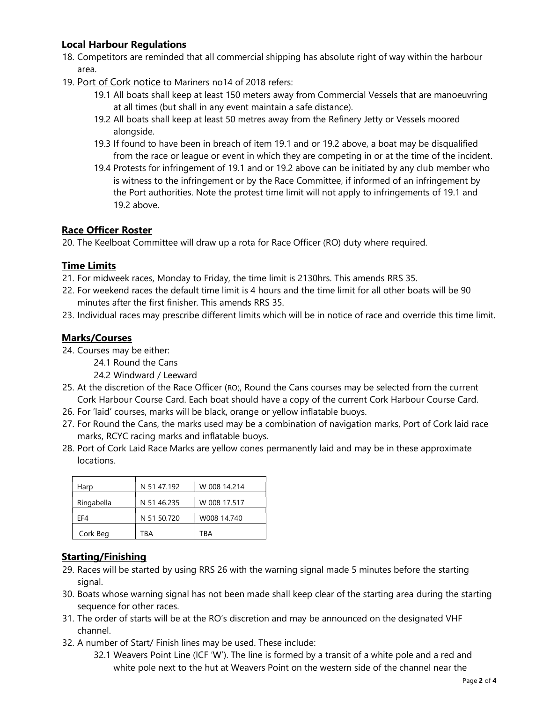#### Local Harbour Regulations

- 18. Competitors are reminded that all commercial shipping has absolute right of way within the harbour area.
- 19. Port of Cork notice to Mariners no14 of 2018 refers:
	- 19.1 All boats shall keep at least 150 meters away from Commercial Vessels that are manoeuvring at all times (but shall in any event maintain a safe distance).
	- 19.2 All boats shall keep at least 50 metres away from the Refinery Jetty or Vessels moored alongside.
	- 19.3 If found to have been in breach of item 19.1 and or 19.2 above, a boat may be disqualified from the race or league or event in which they are competing in or at the time of the incident.
	- 19.4 Protests for infringement of 19.1 and or 19.2 above can be initiated by any club member who is witness to the infringement or by the Race Committee, if informed of an infringement by the Port authorities. Note the protest time limit will not apply to infringements of 19.1 and 19.2 above.

# Race Officer Roster

20. The Keelboat Committee will draw up a rota for Race Officer (RO) duty where required.

## Time Limits

- 21. For midweek races, Monday to Friday, the time limit is 2130hrs. This amends RRS 35.
- 22. For weekend races the default time limit is 4 hours and the time limit for all other boats will be 90 minutes after the first finisher. This amends RRS 35.
- 23. Individual races may prescribe different limits which will be in notice of race and override this time limit.

## Marks/Courses

- 24. Courses may be either:
	- 24.1 Round the Cans
	- 24.2 Windward / Leeward
- 25. At the discretion of the Race Officer (RO), Round the Cans courses may be selected from the current Cork Harbour Course Card. Each boat should have a copy of the current Cork Harbour Course Card.
- 26. For 'laid' courses, marks will be black, orange or yellow inflatable buoys.
- 27. For Round the Cans, the marks used may be a combination of navigation marks, Port of Cork laid race marks, RCYC racing marks and inflatable buoys.
- 28. Port of Cork Laid Race Marks are yellow cones permanently laid and may be in these approximate locations.

| Harp       | N 51 47.192 | W 008 14.214 |
|------------|-------------|--------------|
| Ringabella | N 51 46.235 | W 008 17.517 |
| FF4        | N 51 50.720 | W008 14.740  |
| Cork Beg   | TRA         | TRA          |

## Starting/Finishing

- 29. Races will be started by using RRS 26 with the warning signal made 5 minutes before the starting signal.
- 30. Boats whose warning signal has not been made shall keep clear of the starting area during the starting sequence for other races.
- 31. The order of starts will be at the RO's discretion and may be announced on the designated VHF channel.
- 32. A number of Start/ Finish lines may be used. These include:
	- 32.1 Weavers Point Line (ICF 'W'). The line is formed by a transit of a white pole and a red and white pole next to the hut at Weavers Point on the western side of the channel near the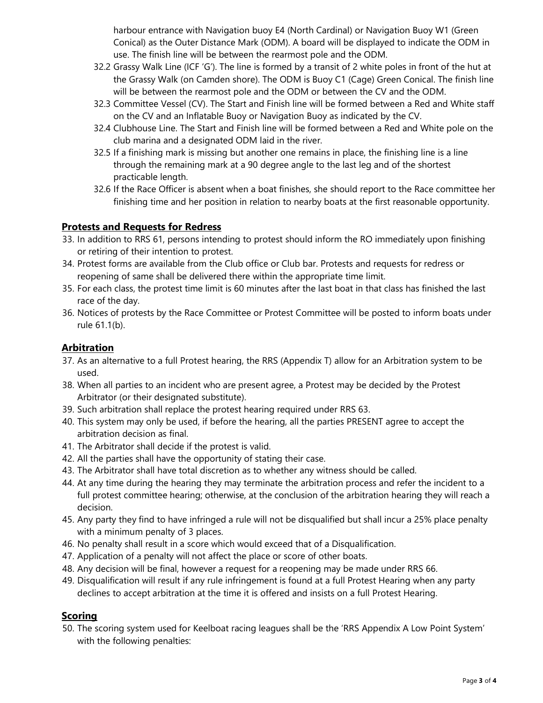harbour entrance with Navigation buoy E4 (North Cardinal) or Navigation Buoy W1 (Green Conical) as the Outer Distance Mark (ODM). A board will be displayed to indicate the ODM in use. The finish line will be between the rearmost pole and the ODM.

- 32.2 Grassy Walk Line (ICF 'G'). The line is formed by a transit of 2 white poles in front of the hut at the Grassy Walk (on Camden shore). The ODM is Buoy C1 (Cage) Green Conical. The finish line will be between the rearmost pole and the ODM or between the CV and the ODM.
- 32.3 Committee Vessel (CV). The Start and Finish line will be formed between a Red and White staff on the CV and an Inflatable Buoy or Navigation Buoy as indicated by the CV.
- 32.4 Clubhouse Line. The Start and Finish line will be formed between a Red and White pole on the club marina and a designated ODM laid in the river.
- 32.5 If a finishing mark is missing but another one remains in place, the finishing line is a line through the remaining mark at a 90 degree angle to the last leg and of the shortest practicable length.
- 32.6 If the Race Officer is absent when a boat finishes, she should report to the Race committee her finishing time and her position in relation to nearby boats at the first reasonable opportunity.

## Protests and Requests for Redress

- 33. In addition to RRS 61, persons intending to protest should inform the RO immediately upon finishing or retiring of their intention to protest.
- 34. Protest forms are available from the Club office or Club bar. Protests and requests for redress or reopening of same shall be delivered there within the appropriate time limit.
- 35. For each class, the protest time limit is 60 minutes after the last boat in that class has finished the last race of the day.
- 36. Notices of protests by the Race Committee or Protest Committee will be posted to inform boats under rule 61.1(b).

## **Arbitration**

- 37. As an alternative to a full Protest hearing, the RRS (Appendix T) allow for an Arbitration system to be used.
- 38. When all parties to an incident who are present agree, a Protest may be decided by the Protest Arbitrator (or their designated substitute).
- 39. Such arbitration shall replace the protest hearing required under RRS 63.
- 40. This system may only be used, if before the hearing, all the parties PRESENT agree to accept the arbitration decision as final.
- 41. The Arbitrator shall decide if the protest is valid.
- 42. All the parties shall have the opportunity of stating their case.
- 43. The Arbitrator shall have total discretion as to whether any witness should be called.
- 44. At any time during the hearing they may terminate the arbitration process and refer the incident to a full protest committee hearing; otherwise, at the conclusion of the arbitration hearing they will reach a decision.
- 45. Any party they find to have infringed a rule will not be disqualified but shall incur a 25% place penalty with a minimum penalty of 3 places.
- 46. No penalty shall result in a score which would exceed that of a Disqualification.
- 47. Application of a penalty will not affect the place or score of other boats.
- 48. Any decision will be final, however a request for a reopening may be made under RRS 66.
- 49. Disqualification will result if any rule infringement is found at a full Protest Hearing when any party declines to accept arbitration at the time it is offered and insists on a full Protest Hearing.

## Scoring

50. The scoring system used for Keelboat racing leagues shall be the 'RRS Appendix A Low Point System' with the following penalties: